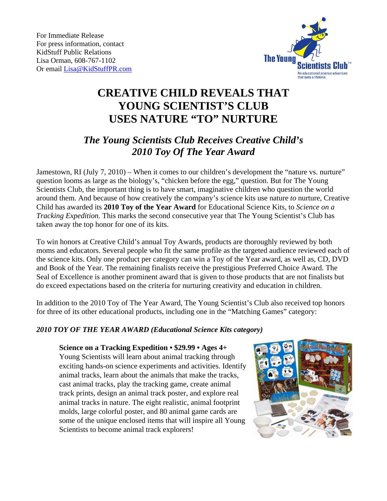

# **CREATIVE CHILD REVEALS THAT YOUNG SCIENTIST'S CLUB USES NATURE "TO" NURTURE**

# *The Young Scientists Club Receives Creative Child's 2010 Toy Of The Year Award*

Jamestown, RI (July 7, 2010) – When it comes to our children's development the "nature vs. nurture" question looms as large as the biology's, "chicken before the egg," question. But for The Young Scientists Club, the important thing is to have smart, imaginative children who question the world around them. And because of how creatively the company's science kits use nature *to* nurture, Creative Child has awarded its **2010 Toy of the Year Award** for Educational Science Kits, to *Science on a Tracking Expedition.* This marks the second consecutive year that The Young Scientist's Club has taken away the top honor for one of its kits.

To win honors at Creative Child's annual Toy Awards, products are thoroughly reviewed by both moms and educators. Several people who fit the same profile as the targeted audience reviewed each of the science kits. Only one product per category can win a Toy of the Year award, as well as, CD, DVD and Book of the Year. The remaining finalists receive the prestigious Preferred Choice Award. The Seal of Excellence is another prominent award that is given to those products that are not finalists but do exceed expectations based on the criteria for nurturing creativity and education in children.

In addition to the 2010 Toy of The Year Award, The Young Scientist's Club also received top honors for three of its other educational products, including one in the "Matching Games" category:

## *2010 TOY OF THE YEAR AWARD (Educational Science Kits category)*

#### **Science on a Tracking Expedition • \$29.99 • Ages 4+**

Young Scientists will learn about animal tracking through exciting hands-on science experiments and activities. Identify animal tracks, learn about the animals that make the tracks, cast animal tracks, play the tracking game, create animal track prints, design an animal track poster, and explore real animal tracks in nature. The eight realistic, animal footprint molds, large colorful poster, and 80 animal game cards are some of the unique enclosed items that will inspire all Young Scientists to become animal track explorers!